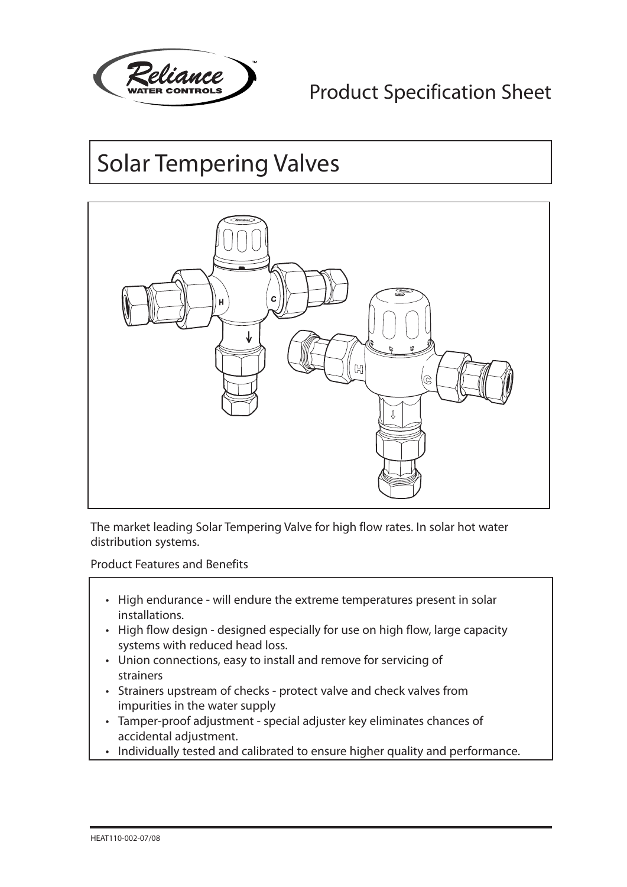

## Product Specification Sheet

# Solar Tempering Valves



The market leading Solar Tempering Valve for high flow rates. In solar hot water distribution systems.

Product Features and Benefits

- High endurance will endure the extreme temperatures present in solar installations.
- High flow design designed especially for use on high flow, large capacity systems with reduced head loss.
- • Union connections, easy to install and remove for servicing of strainers
- Strainers upstream of checks protect valve and check valves from impurities in the water supply
- • Tamper-proof adjustment special adjuster key eliminates chances of accidental adjustment.
- Individually tested and calibrated to ensure higher quality and performance.